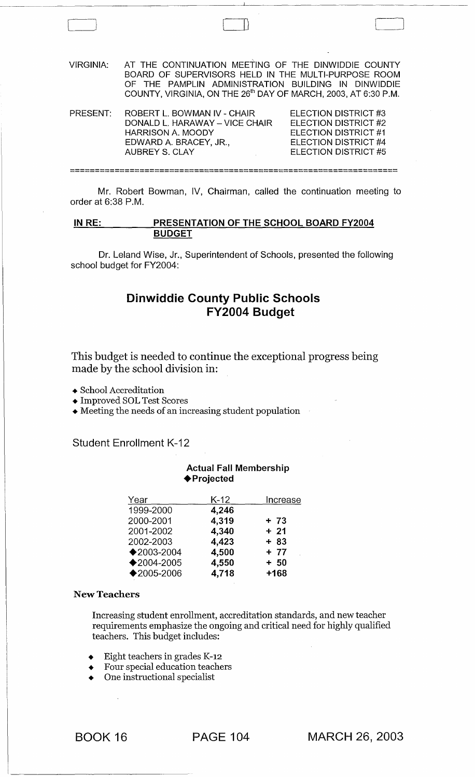| <b>VIRGINIA:</b> | AT THE CONTINUATION MEETING OF THE DINWIDDIE COUNTY<br>BOARD OF SUPERVISORS HELD IN THE MULTI-PURPOSE ROOM<br>OF THE PAMPLIN ADMINISTRATION BUILDING IN DINWIDDIE<br>COUNTY, VIRGINIA, ON THE 26 <sup>th</sup> DAY OF MARCH, 2003, AT 6:30 P.M. |                                                                                                                       |  |
|------------------|-------------------------------------------------------------------------------------------------------------------------------------------------------------------------------------------------------------------------------------------------|-----------------------------------------------------------------------------------------------------------------------|--|
| PRESENT:         | ROBERT L. BOWMAN IV - CHAIR<br>DONALD L. HARAWAY - VICE CHAIR<br>HARRISON A. MOODY<br>EDWARD A. BRACEY, JR.,<br><b>AUBREY S. CLAY</b>                                                                                                           | ELECTION DISTRICT #3<br>ELECTION DISTRICT #2<br>FLECTION DISTRICT #1<br>ELECTION DISTRICT #4<br>FI ECTION DISTRICT #5 |  |
|                  |                                                                                                                                                                                                                                                 |                                                                                                                       |  |

 $\begin{pmatrix} 1 & 1 & 1 \\ 1 & 1 & 1 \\ 1 & 1 & 1 \end{pmatrix}$ 

Mr. Robert Bowman, IV, Chairman, called the continuation meeting to order at 6:38 P.M.

### IN RE: PRESENTATION OF THE SCHOOL BOARD FY2004 BUDGET

Dr. Leland Wise, Jr., Superintendent of Schools, presented the following school budget for FY2004:

# Dinwiddie County Public Schools FY2004 Budget

This budget is needed to continue the exceptional progress being made by the school division in:

- School Accreditation
- Improved SOL Test Scores
- Meeting the needs of an increasing student population

Student Enrollment K-12

### Actual Fall Membership ◆ Projected

| Increase |
|----------|
|          |
| $+ 73$   |
| $+21$    |
| $+83$    |
| $+ 77$   |
| $+ 50$   |
| $+168$   |
|          |

#### New Teachers

Increasing student enrollment, accreditation standards, and new teacher requirements emphasize the ongoing and critical need for highly qualified teachers. This budget includes:

- Eight teachers in grades K-12
- Four special education teachers
- One instructional specialist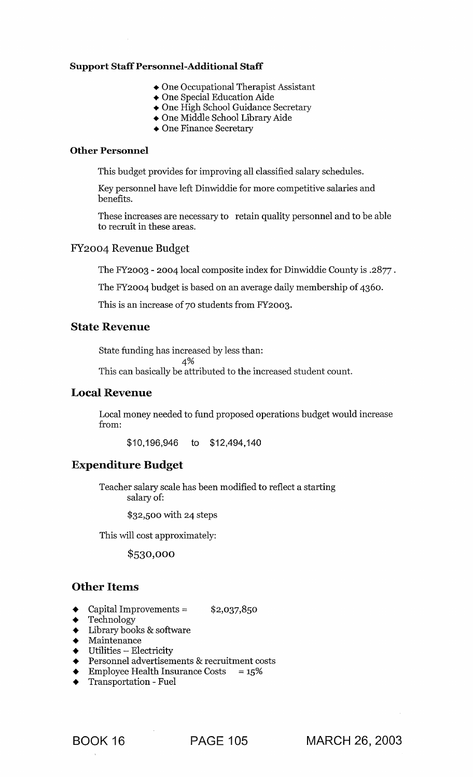## **Support** Staff Personnel-Additional **Staff**

- One Occupational Therapist Assistant
- One Special Education Aide
- One High School Guidance Secretary
- One Middle School Library Aide
- One Finance Secretary

## **Other Personnel**

This budget provides for improving all classified salary schedules.

Key personnel have left Dinwiddie for more competitive salaries and benefits.

These increases are necessary to retain quality personnel and to be able to recruit in these areas.

### FY 2004 Revenue Budget

The FY2003 - 2004 local composite index for Dinwiddie County is .2877 .

The FY2004 budget is based on an average daily membership of 4360.

This is an increase of 70 students from FY2003.

## **State Revenue**

State funding has increased by less than:

 $4%$ 

This can basically be attributed to the increased student count.

## **Local Revenue**

Local money needed to fund proposed operations budget would increase from:

\$10,196,946 to \$12,494,140

## **Expenditure Budget**

Teacher salary scale has been modified to reflect a starting salary of:

\$32,500 with 24 steps

This will cost approximately:

\$530,000

## **Other Items**

- Capital Improvements =  $$2,037,850$
- **Technology**
- Library books & software
- $\begin{array}{cc}\n\blacklozenge & \text{Maintenance} \\
\blacklozenge & \text{Utilities} \text{Ele}\n\end{array}$
- Utilities Electricity
- Personnel advertisements & recruitment costs
- Employee Health Insurance Costs  $= 15\%$
- Transportation Fuel

BOOK 16 **PAGE 105 MARCH** 26, **2003**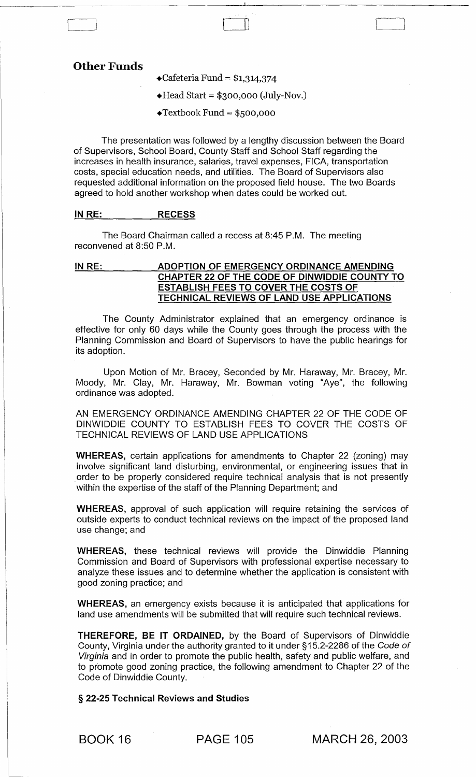## Other Funds

 $\triangleleft$ Cafeteria Fund = \$1,314,374

 $\triangleleft$  Head Start = \$300,000 (July-Nov.)

II )

 $\triangleleft$ Textbook Fund = \$500,000

The presentation was followed by a lengthy discussion between the Board of Supervisors, School Board, County Staff and School Staff regarding the increases in health insurance, salaries, travel expenses, FICA, transportation costs, special education needs, and utilities. The Board of Supervisors also requested additional information on the proposed field house. The two Boards agreed to hold another workshop when dates could be worked out.

### IN RE: RECESS

The Board Chairman called a recess at 8:45 P.M. The meeting reconvened at 8:50 P.M.

### IN RE: ADOPTION OF EMERGENCY ORDINANCE AMENDING CHAPTER 22 OF THE CODE OF DINWIDDIE COUNTY TO ESTABLISH FEES TO COVER THE COSTS OF TECHNICAL REVIEWS OF LAND USE APPLICATIONS

The County Administrator explained that an emergency ordinance is effective for only 60 days while the County goes through the process with the Planning Commission and Board of Supervisors to have the public hearings for its adoption.

Upon Motion of Mr. Bracey, Seconded by Mr. Haraway, Mr. Bracey, Mr. Moody, Mr. Clay, Mr. Haraway, Mr. Bowman voting "Aye", the following ordinance was adopted.

AN EMERGENCY ORDINANCE AMENDING CHAPTER 22 OF THE CODE OF DINWIDDIE COUNTY TO ESTABLISH FEES TO COVER THE COSTS OF TECHNICAL REVIEWS OF LAND USE APPLICATIONS

WHEREAS, certain applications for amendments to Chapter 22 (zoning) may involve significant land disturbing, environmental, or engineering issues that in order to be properly considered require technical analysis that is not presently within the expertise of the staff of the Planning Department; and

WHEREAS, approval of such application will require retaining the services of outside experts to conduct technical reviews on the impact of the proposed land use change; and

WHEREAS, these technical reviews will provide the Dinwiddie Planning Commission and Board of Supervisors with professional expertise necessary to analyze these issues and to determine whether the application is consistent with good zoning practice; and

WHEREAS, an emergency exists because it is anticipated that applications for land use amendments will be submitted that will require such technical reviews.

THEREFORE, BE IT ORDAINED, by the Board of Supervisors of Dinwiddie County, Virginia under the authority granted to it under §15.2-2286 of the Code of Virginia and in order to promote the public health, safety and public welfare, and to promote good zoning practice, the following amendment to Chapter 22 of the Code of Dinwiddie County.

§ 22-25 Technical Reviews and Studies

BOOK 16 PAGE 105 MARCH 26, 2003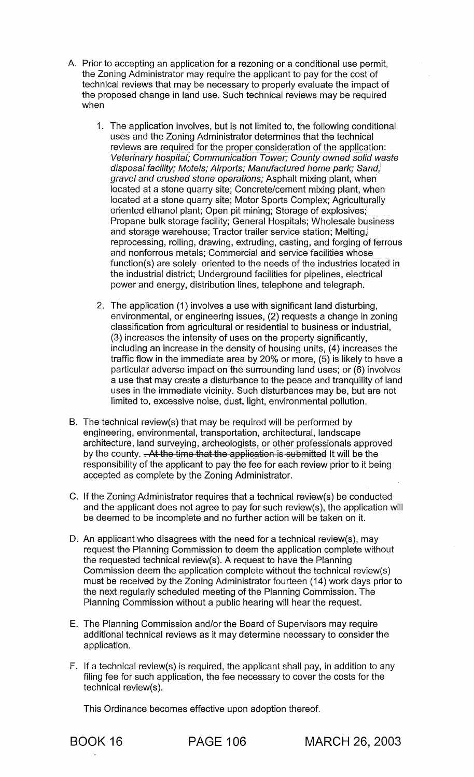- A. Prior to accepting an application for a rezoning or a conditional use permit, the Zoning Administrator may require the applicant to pay for the cost of technical reviews that may be necessary to properly evaluate the impact of the proposed change in land use. Such technical reviews may be required when
	- 1. The application involves, but is not limited to, the following conditional uses and the Zoning Administrator determines that the technical reviews are required for the proper consideration of the application: Veterinary hospital; Communication Tower; County owned solid waste disposal facility; Motels; Airports; Manufactured home park; Sand, gravel and crushed stone operations; Asphalt mixing plant, when' located at a stone quarry site; Concrete/cement mixing plant, when located at a stone quarry site; Motor Sports Complex; Agriculturally oriented ethanol plant; Open pit mining; Storage of explosives; Propane bulk storage facility; General Hospitals; Wholesale business and storage warehouse; Tractor trailer service station; Melting, reprocessing, rolling, drawing, extruding, casting, and forging of ferrous and nonferrous metals; Commercial and service facilities whose function(s) are solely oriented to the needs of the industries located in the industrial district; Underground facilities for pipelines, electrical power and energy, distribution lines, telephone and telegraph.
	- 2. The application (1) involves a use with significant land disturbing, environmental, or engineering issues, (2) requests a change in zoning classification from agricultural or residential to business or industrial, (3) increases the intensity of uses on the property significantly, including an increase in the density of housing units, (4) increases the traffic flow in the immediate area by 20% or more, (5) is likely to have a particular adverse impact on the surrounding land uses; or (6) involves a use that may create a disturbance to the peace and tranquility of land uses in the immediate vicinity. Such disturbances may be, but are not limited to, excessive noise, dust, light, environmental pollution.
- B. The technical review(s) that may be required will be performed by engineering, environmental, transportation, architectural, landscape architecture, land surveying, archeologists, or other professionals approved by the county. . At the time that the application is submitted It will be the responsibility of the applicant to pay the fee for each review prior to it being accepted as complete by the Zoning Administrator.
- C. If the Zoning Administrator requires that a technical review(s) be conducted and the applicant does not agree to pay for such review(s), the application will be deemed to be incomplete and no further action will be taken on it.
- D. An applicant who disagrees with the need for a technical review(s), may request the Planning Commission to deem the application complete without the requested technical review(s). A request to have the Planning Commission deem the application complete without the technical review(s) must be received by the Zoning Administrator fourteen (14) work days prior to the next regularly scheduled meeting of the Planning Commission. The Planning Commission without a public hearing will hear the request.
- E. The Planning Commission and/or the Board of Supervisors may require additional technical reviews as it may determine necessary to consider the application.
- F. If a technical review(s) is required, the applicant shall pay, in addition to any filing fee for such application, the fee necessary to cover the costs for the technical review(s).

This Ordinance becomes effective upon adoption thereof.

BOOK 16 PAGE 106 MARCH 26,2003